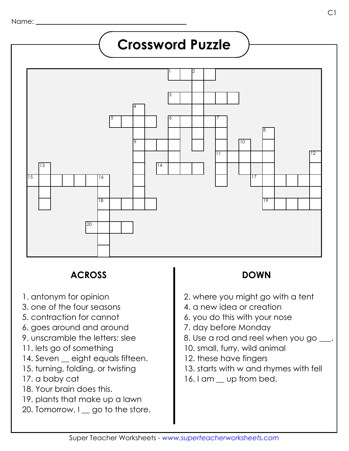# **Crossword Puzzle**



### **ACROSS DOWN**

- 1. antonym for opinion
- 3. one of the four seasons
- 5. contraction for cannot
- 6. goes around and around
- 9. unscramble the letters: slee
- 11. lets go of something
- 14. Seven \_ eight equals fifteen.
- 15. turning, folding, or twisting
- 17. a baby cat
- 18. Your brain does this.
- 19. plants that make up a lawn
- 20. Tomorrow, I go to the store.

- 2. where you might go with a tent
- 4. a new idea or creation
- 6. you do this with your nose
- 7. day before Monday
- 8. Use a rod and reel when you go  $\_\_$ .
- 10. small, furry, wild animal
- 12. these have fingers
- 13. starts with w and rhymes with fell
- 16. I am  $\equiv$  up from bed.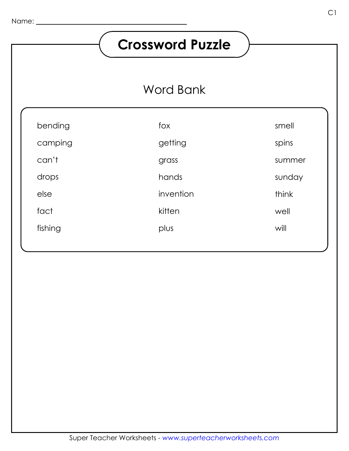## **Crossword Puzzle**

## Word Bank

| bending | fox       | smell  |
|---------|-----------|--------|
| camping | getting   | spins  |
| can't   | grass     | summer |
| drops   | hands     | sunday |
| else    | invention | think  |
| fact    | kitten    | well   |
| fishing | plus      | will   |
|         |           |        |